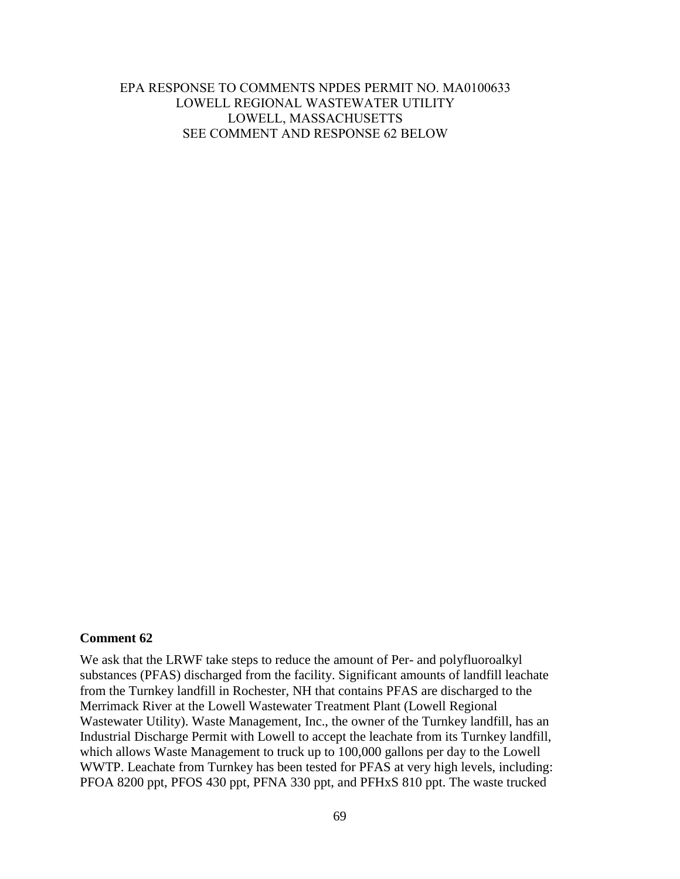# EPA RESPONSE TO COMMENTS NPDES PERMIT NO. MA0100633 LOWELL REGIONAL WASTEWATER UTILITY LOWELL, MASSACHUSETTS SEE COMMENT AND RESPONSE 62 BELOW

### **Comment 62**

We ask that the LRWF take steps to reduce the amount of Per- and polyfluoroalkyl substances (PFAS) discharged from the facility. Significant amounts of landfill leachate from the Turnkey landfill in Rochester, NH that contains PFAS are discharged to the Merrimack River at the Lowell Wastewater Treatment Plant (Lowell Regional Wastewater Utility). Waste Management, Inc., the owner of the Turnkey landfill, has an Industrial Discharge Permit with Lowell to accept the leachate from its Turnkey landfill, which allows Waste Management to truck up to 100,000 gallons per day to the Lowell WWTP. Leachate from Turnkey has been tested for PFAS at very high levels, including: PFOA 8200 ppt, PFOS 430 ppt, PFNA 330 ppt, and PFHxS 810 ppt. The waste trucked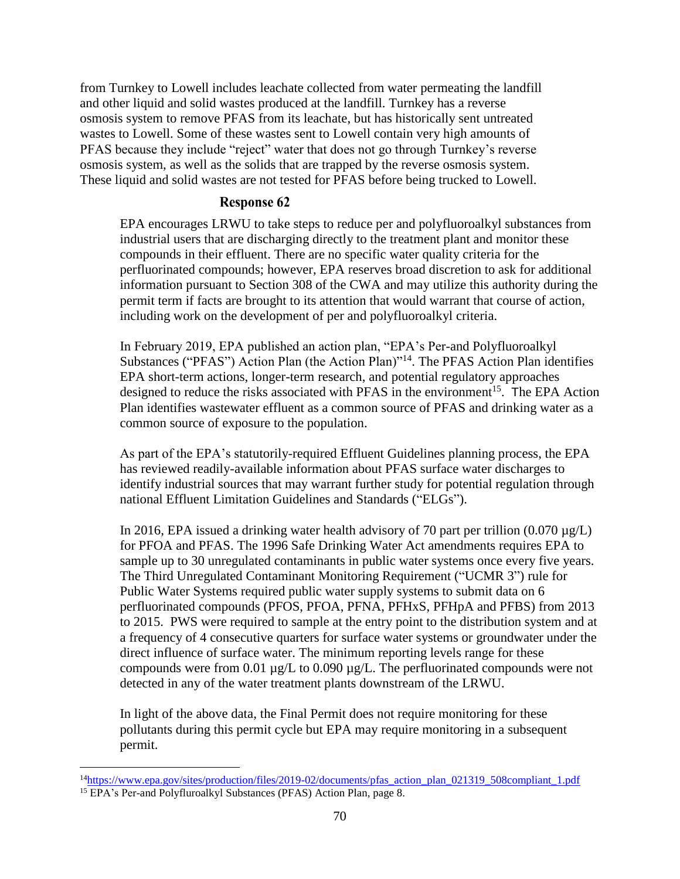from Turnkey to Lowell includes leachate collected from water permeating the landfill and other liquid and solid wastes produced at the landfill. Turnkey has a reverse osmosis system to remove PFAS from its leachate, but has historically sent untreated wastes to Lowell. Some of these wastes sent to Lowell contain very high amounts of PFAS because they include "reject" water that does not go through Turnkey's reverse osmosis system, as well as the solids that are trapped by the reverse osmosis system. These liquid and solid wastes are not tested for PFAS before being trucked to Lowell.

## **Response 62**

EPA encourages LRWU to take steps to reduce per and polyfluoroalkyl substances from industrial users that are discharging directly to the treatment plant and monitor these compounds in their effluent. There are no specific water quality criteria for the perfluorinated compounds; however, EPA reserves broad discretion to ask for additional information pursuant to Section 308 of the CWA and may utilize this authority during the permit term if facts are brought to its attention that would warrant that course of action, including work on the development of per and polyfluoroalkyl criteria.

In February 2019, EPA published an action plan, "EPA's Per-and Polyfluoroalkyl Substances ("PFAS") Action Plan (the Action Plan)"<sup>14</sup>. The PFAS Action Plan identifies EPA short-term actions, longer-term research, and potential regulatory approaches designed to reduce the risks associated with PFAS in the environment<sup>15</sup>. The EPA Action Plan identifies wastewater effluent as a common source of PFAS and drinking water as a common source of exposure to the population.

As part of the EPA's statutorily-required Effluent Guidelines planning process, the EPA has reviewed readily-available information about PFAS surface water discharges to identify industrial sources that may warrant further study for potential regulation through national Effluent Limitation Guidelines and Standards ("ELGs").

In 2016, EPA issued a drinking water health advisory of 70 part per trillion  $(0.070 \mu g/L)$ for PFOA and PFAS. The 1996 Safe Drinking Water Act amendments requires EPA to sample up to 30 unregulated contaminants in public water systems once every five years. The Third Unregulated Contaminant Monitoring Requirement ("UCMR 3") rule for Public Water Systems required public water supply systems to submit data on 6 perfluorinated compounds (PFOS, PFOA, PFNA, PFHxS, PFHpA and PFBS) from 2013 to 2015. PWS were required to sample at the entry point to the distribution system and at a frequency of 4 consecutive quarters for surface water systems or groundwater under the direct influence of surface water. The minimum reporting levels range for these compounds were from 0.01 µg/L to 0.090 µg/L. The perfluorinated compounds were not detected in any of the water treatment plants downstream of the LRWU.

In light of the above data, the Final Permit does not require monitoring for these pollutants during this permit cycle but EPA may require monitoring in a subsequent permit.

 $\overline{a}$ 

<sup>&</sup>lt;sup>14</sup>[https://www.epa.gov/sites/production/files/2019-02/documents/pfas\\_action\\_plan\\_021319\\_508compliant\\_1.pdf](https://www.epa.gov/sites/production/files/2019-02/documents/pfas_action_plan_021319_508compliant_1.pdf) <sup>15</sup> EPA's Per-and Polyfluroalkyl Substances (PFAS) Action Plan, page 8.